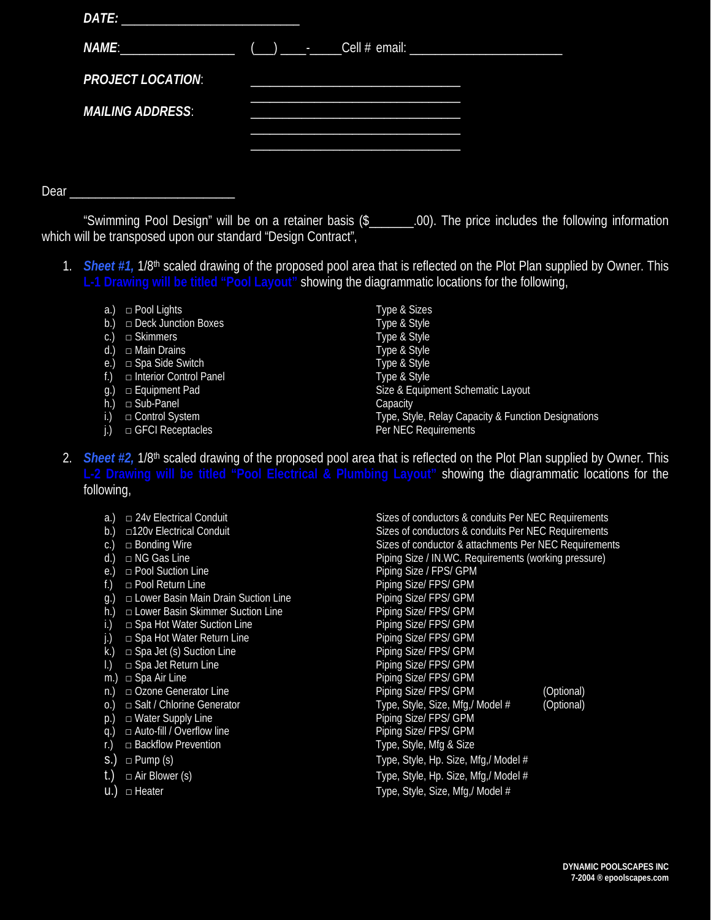| DATE:                    |  |
|--------------------------|--|
| NAME:                    |  |
| <b>PROJECT LOCATION:</b> |  |
| <b>MAILING ADDRESS:</b>  |  |
|                          |  |
|                          |  |

Dear

"Swimming Pool Design" will be on a retainer basis (\$\_\_\_\_\_\_\_.00). The price includes the following information which will be transposed upon our standard "Design Contract",

- 1. *Sheet #1,* 1/8th scaled drawing of the proposed pool area that is reflected on the Plot Plan supplied by Owner. This **L-1 Drawing will be titled "Pool Layout"** showing the diagrammatic locations for the following,
	- a.)  $\Box$  Pool Lights  $\Box$  Type & Sizes
	- b.) □ Deck Junction Boxes Type & Style
	- c.)  $\Box$  Skimmers
	-
	- e.)  $\Box$  Spa Side Switch
	-
	- h.) □ Sub-Panel Capacity
	-
	-

d.) □ Main Drains Type & Style f.) □ Interior Control Panel Type & Style<br>g.) □ Equipment Pad Type & Equip Size & Equipment Schematic Layout i.)  $□$  Control System  $\Box$  Type, Style, Relay Capacity & Function Designations j.) □ GFCI Receptacles Per NEC Requirements

- 2. *Sheet #2,* 1/8th scaled drawing of the proposed pool area that is reflected on the Plot Plan supplied by Owner. This **L-2 Drawing will be titled "Pool Electrical & Plumbing Layout"** showing the diagrammatic locations for the following,
	-
	-
	-
	-
	-
	-
	- g.) □ Lower Basin Main Drain Suction Line Piping Size/ FPS/ GPM
	-
	- i.)  $\Box$  Spa Hot Water Suction Line
	-
	-
	- □ Spa Jet Return Line
	-
	-
	-
	- $p.) \square$  Water Supply Line
	-
	-
	-
	-
	-

a.)  $□$  24v Electrical Conduit Sizes of conductors & conduits Per NEC Requirements b.) □120v Electrical Conduit Sizes of conductors & conduits Per NEC Requirements c.) □ Bonding Wire Sizes of conductor & attachments Per NEC Requirements d.) □ NG Gas Line example and provide property Piping Size / IN.WC. Requirements (working pressure) e.) □ Pool Suction Line Piping Size / FPS/ GPM f.)  $\Box$  Pool Return Line Piping Size/ FPS/ GPM h.) □ Lower Basin Skimmer Suction Line Piping Size/ FPS/ GPM<br>i.) □ Spa Hot Water Suction Line Piping Size/ FPS/ GPM j.) □ Spa Hot Water Return Line Piping Size/ FPS/ GPM<br>
k.) □ Spa Jet (s) Suction Line Piping Size/ FPS/ GPM k.) □ Spa Jet (s) Suction Line <br>  $\begin{array}{ccc} \text{R.} & \text{D.} \\ \text{D.} & \text{S.} \\ \text{E.} & \text{D.} \end{array}$   $\begin{array}{ccc} \text{D.} \\ \text{E.} \\ \text{E.} \\ \text{E.} \end{array}$   $\begin{array}{ccc} \text{D.} \\ \text{E.} \\ \text{E.} \\ \text{E.} \\ \text{E.} \end{array}$ m.)  $\Box$  Spa Air Line  $\Box$   $\Box$  Piping Size/ FPS/ GPM n.)  $\Box$  Ozone Generator Line example and provide Piping Size/ FPS/ GPM (Optional)<br>
o.)  $\Box$  Salt / Chlorine Generator example and provide Type, Style, Size, Mfg./ Model # (Optional) o.)  $□$  Salt / Chlorine Generator  $□$  Type, Style, Size, Mfg,/ Model  $#$  (Optional)  $P$  (Optional)  $P$  (Define Size/ FPS/ GPM q.) □ Auto-fill / Overflow line example and provide Piping Size/ FPS/ GPM r.) □ Backflow Prevention **Type, Style, Mfg & Size** S.) □ Pump (s) Contracts and the Type, Style, Hp. Size, Mfg,/ Model # t.) □ Air Blower (s) Type, Style, Hp. Size, Mfg,/ Model # u.) □ Heater Type, Style, Size, Mfg,/ Model #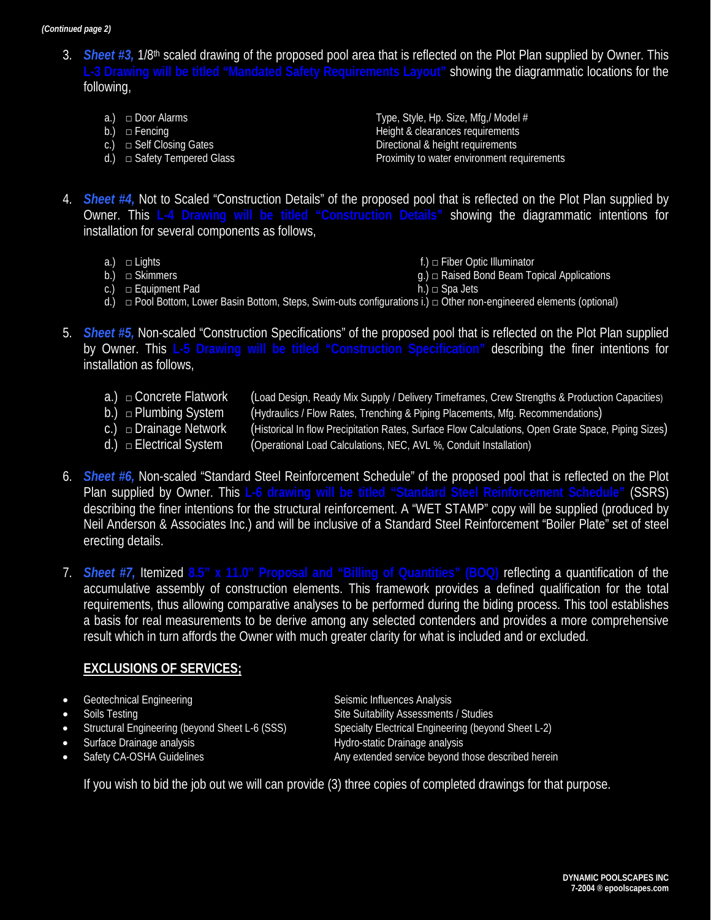*(Continued page 2)*

- 3. *Sheet #3,* 1/8th scaled drawing of the proposed pool area that is reflected on the Plot Plan supplied by Owner. This **L-3 Drawing will be titled "Mandated Safety Requirements Layout"** showing the diagrammatic locations for the following,
	-
	-
	-
	-

a.)  $\Box$  Door Alarms Type, Style, Hp. Size, Mfg,/ Model # b.) □ Fencing Height & clearances requirements c.) □ Self Closing Gates **Directional & height requirements** d.) 
□ Safety Tempered Glass Proximity to water environment requirements

- 4. *Sheet #4,* Not to Scaled "Construction Details" of the proposed pool that is reflected on the Plot Plan supplied by Owner. This **L-4 Drawing will be titled "Construction Details"** showing the diagrammatic intentions for installation for several components as follows,
	-
	-
- 
- a.) □ Lights contract the set of the set of the set of the set of the set of the set of the set of the set of the set of the set of the set of the set of the set of the set of the set of the set of the set of the set of t  $\mathfrak{g}$ .)  $\Box$  Raised Bond Beam Topical Applications
- c.)  $\Box$  Equipment Pad h.)  $\Box$  Spa Jets
- 
- d.) □ Pool Bottom, Lower Basin Bottom, Steps, Swim-outs configurations i.) □ Other non-engineered elements (optional)
- 5. *Sheet #5,* Non-scaled "Construction Specifications" of the proposed pool that is reflected on the Plot Plan supplied by Owner. This **L-5 Drawing will be titled "Construction Specification"** describing the finer intentions for installation as follows,
	- a.) □ Concrete Flatwork (Load Design, Ready Mix Supply / Delivery Timeframes, Crew Strengths & Production Capacities)
	- b.) □ Plumbing System (Hydraulics / Flow Rates, Trenching & Piping Placements, Mfg. Recommendations)
	- c.) □ Drainage Network (Historical In flow Precipitation Rates, Surface Flow Calculations, Open Grate Space, Piping Sizes)
	- $(d)$   $\Box$  Electrical System (Operational Load Calculations, NEC, AVL %, Conduit Installation)
- 6. *Sheet #6,* Non-scaled "Standard Steel Reinforcement Schedule" of the proposed pool that is reflected on the Plot Plan supplied by Owner. This **L-6 drawing will be titled "Standard Steel Reinforcement Schedule"** (SSRS) describing the finer intentions for the structural reinforcement. A "WET STAMP" copy will be supplied (produced by Neil Anderson & Associates Inc.) and will be inclusive of a Standard Steel Reinforcement "Boiler Plate" set of steel erecting details.
- 7. *Sheet #7,* Itemized **8.5" x 11.0" Proposal and "Billing of Quantities" (BOQ)** reflecting a quantification of the accumulative assembly of construction elements. This framework provides a defined qualification for the total requirements, thus allowing comparative analyses to be performed during the biding process. This tool establishes a basis for real measurements to be derive among any selected contenders and provides a more comprehensive result which in turn affords the Owner with much greater clarity for what is included and or excluded.

# **EXCLUSIONS OF SERVICES;**

- Geotechnical Engineering **Seismic Influences Analysis** Seismic Influences Analysis
- 
- 
- 
- 

Soils Testing<br>
Site Suitability Assessments / Studies<br>
Specialty Electrical Engineering (beyond Sheet L-6 (SSS)<br>
Specialty Electrical Engineering (beyo Specialty Electrical Engineering (beyond Sheet L-2) • Surface Drainage analysis **Exercise Surface Drainage analysis** Hydro-static Drainage analysis • Safety CA-OSHA Guidelines Any extended service beyond those described herein

If you wish to bid the job out we will can provide (3) three copies of completed drawings for that purpose.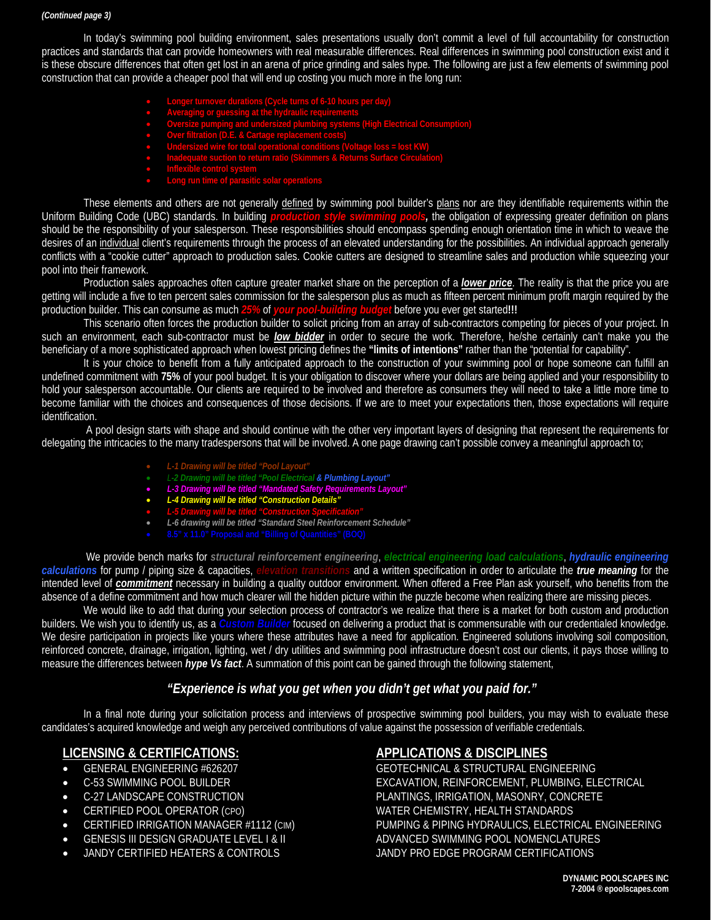#### *(Continued page 3)*

In today's swimming pool building environment, sales presentations usually don't commit a level of full accountability for construction practices and standards that can provide homeowners with real measurable differences. Real differences in swimming pool construction exist and it is these obscure differences that often get lost in an arena of price grinding and sales hype. The following are just a few elements of swimming pool construction that can provide a cheaper pool that will end up costing you much more in the long run:

- **Longer turnover durations (Cycle turns of 6-10 hours per day)**
- **Averaging or guessing at the hydraulic requirements**
- **Oversize pumping and undersized plumbing systems (High Electrical Consumption)**
- **Over filtration (D.E. & Cartage replacement costs)**
- **Undersized wire for total operational conditions (Voltage loss = lost KW)**
- **Inadequate suction to return ratio (Skimmers & Returns Surface Circulation)**
- **Inflexible control system**
- 

These elements and others are not generally defined by swimming pool builder's plans nor are they identifiable requirements within the Uniform Building Code (UBC) standards. In building *production style swimming pools,* the obligation of expressing greater definition on plans should be the responsibility of your salesperson. These responsibilities should encompass spending enough orientation time in which to weave the desires of an <u>individual</u> client's requirements through the process of an elevated understanding for the possibilities. An individual approach generally conflicts with a "cookie cutter" approach to production sales. Cookie cutters are designed to streamline sales and production while squeezing your pool into their framework.

Production sales approaches often capture greater market share on the perception of a *lower price* . The reality is that the price you are getting will include a five to ten percent sales commission for the salesperson plus as much as fifteen percent minimum profit margin required by the production builder. This can consume as much *25%* of *your pool-building budget* before you ever get started**!!!** 

This scenario often forces the production builder to solicit pricing from an array of sub-contractors competing for pieces of your project. In such an environment, each sub-contractor must be low bidder in order to secure the work. Therefore, he/she certainly can't make you the beneficiary of a more sophisticated approach when lowest pricing defines the **"limits of intentions"** rather than the "potential for capability".

It is your choice to benefit from a fully anticipated approach to the construction of your swimming pool or hope someone can fulfill an undefined commitment with **75%** of your pool budget. It is your obligation to discover where your dollars are being applied and your responsibility to hold your salesperson accountable. Our clients are required to be involved and therefore as consumers they will need to take a little more time to become familiar with the choices and consequences of those decisions. If we are to meet your expectations then, those expectations will require identification.

A pool design starts with shape and should continue with the other very important layers of designing that represent the requirements for delegating the intricacies to the many tradespersons that will be involved. A one page drawing can't possible convey a meaningful approach to;

- *L-1 Drawing will be titled "Pool Layout"*
- *L-2 Drawing will be titled "Pool Electrical & Plumbing Layout"*
- *L-3 Drawing will be titled "Mandated Safety Requirements Layout"*
- *L-4 Drawing will be titled "Construction Details"*
- *L-5 Drawing will be titled "Construction Specification"*
- *L-6 drawing will be titled "Standard Steel Reinforcement Schedule"*
	-

We provide bench marks for *structural reinforcement engineering*, *electrical engineering load calculations*, *hydraulic engineering calculations* for pump / piping size & capacities, *elevation transitions* and a written specification in order to articulate the *true meaning* for the intended level of *commitment* necessary in building a quality outdoor environment. When offered a Free Plan ask yourself, who benefits from the absence of a define commitment and how much clearer will the hidden picture within the puzzle become when realizing there are missing pieces.

We would like to add that during your selection process of contractor's we realize that there is a market for both custom and production builders. We wish you to identify us, as a *Custom Builder* focused on delivering a product that is commensurable with our credentialed knowledge. We desire participation in projects like yours where these attributes have a need for application. Engineered solutions involving soil composition, reinforced concrete, drainage, irrigation, lighting, wet / dry utilities and swimming pool infrastructure doesn't cost our clients, it pays those willing to measure the differences between *hype Vs fact*. A summation of this point can be gained through the following statement,

# *"Experience is what you get when you didn't get what you paid for."*

In a final note during your solicitation process and interviews of prospective swimming pool builders, you may wish to evaluate these candidates's acquired knowledge and weigh any perceived contributions of value against the possession of verifiable credentials.

# **LICENSING & CERTIFICATIONS:**

- 
- 
- 
- 
- 
- 
- 

# **APPLICATIONS & DISCIPLINES**

• GENERAL ENGINEERING #626207 GEOTECHNICAL & STRUCTURAL ENGINEERING • C-53 SWIMMING POOL BUILDER EXCAVATION, REINFORCEMENT, PLUMBING, ELECTRICAL • C-27 LANDSCAPE CONSTRUCTION PLANTINGS, IRRIGATION, MASONRY, CONCRETE ● CERTIFIED POOL OPERATOR (CPO) WATER CHEMISTRY, HEALTH STANDARDS<br>● CERTIFIED IRRIGATION MANAGER #1112 (CIM) PUMPING & PIPING HYDRAULICS, ELECTRI PUMPING & PIPING HYDRAULICS, ELECTRICAL ENGINEERING GENESIS III DESIGN GRADUATE LEVEL I & II ADVANCED SWIMMING POOL NOMENCLATURES • JANDY CERTIFIED HEATERS & CONTROLS JANDY PRO EDGE PROGRAM CERTIFICATIONS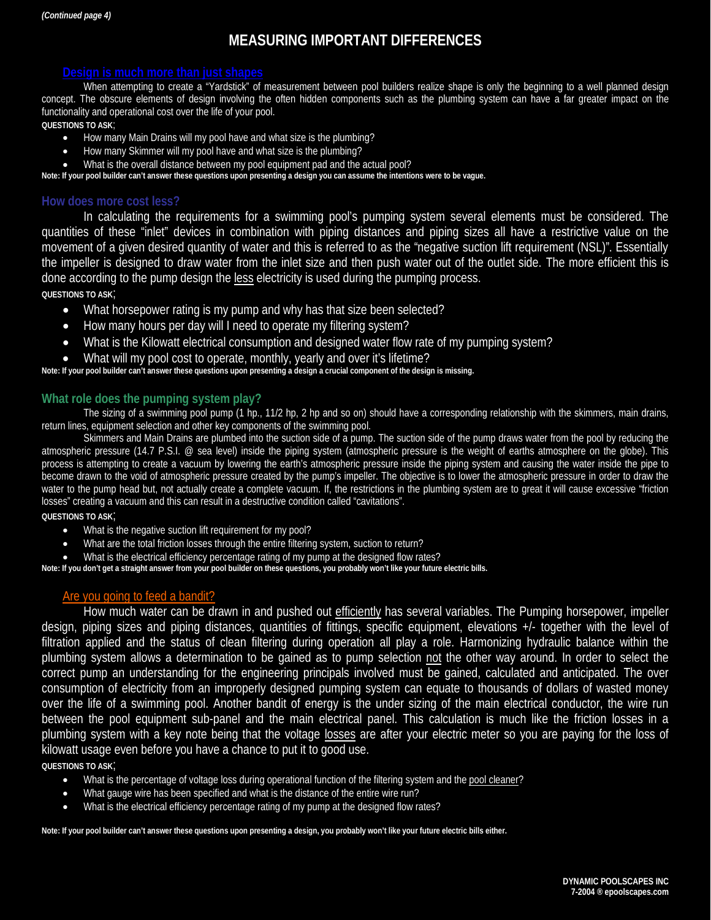# **MEASURING IMPORTANT DIFFERENCES**

When attempting to create a "Yardstick" of measurement between pool builders realize shape is only the beginning to a well planned design concept. The obscure elements of design involving the often hidden components such as the plumbing system can have a far greater impact on the functionality and operational cost over the life of your pool.

#### **QUESTIONS TO ASK**;

- How many Main Drains will my pool have and what size is the plumbing?
- How many Skimmer will my pool have and what size is the plumbing?
- What is the overall distance between my pool equipment pad and the actual pool?

**Note: If your pool builder can't answer these questions upon presenting a design you can assume the intentions were to be vague.**

### **How does more cost less?**

In calculating the requirements for a swimming pool's pumping system several elements must be considered. The quantities of these "inlet" devices in combination with piping distances and piping sizes all have a restrictive value on the movement of a given desired quantity of water and this is referred to as the "negative suction lift requirement (NSL)". Essentially the impeller is designed to draw water from the inlet size and then push water out of the outlet side. The more efficient this is done according to the pump design the less electricity is used during the pumping process.

**QUESTIONS TO ASK**;

- What horsepower rating is my pump and why has that size been selected?
- How many hours per day will I need to operate my filtering system?
- What is the Kilowatt electrical consumption and designed water flow rate of my pumping system?
- What will my pool cost to operate, monthly, yearly and over it's lifetime?

#### **Note: If your pool builder can't answer these questions upon presenting a design a crucial component of the design is missing.**

### **What role does the pumping system play?**

The sizing of a swimming pool pump (1 hp., 11/2 hp, 2 hp and so on) should have a corresponding relationship with the skimmers, main drains, return lines, equipment selection and other key components of the swimming pool.

Skimmers and Main Drains are plumbed into the suction side of a pump. The suction side of the pump draws water from the pool by reducing the atmospheric pressure (14.7 P.S.I. @ sea level) inside the piping system (atmospheric pressure is the weight of earths atmosphere on the globe). This process is attempting to create a vacuum by lowering the earth's atmospheric pressure inside the piping system and causing the water inside the pipe to become drawn to the void of atmospheric pressure created by the pump's impeller. The objective is to lower the atmospheric pressure in order to draw the water to the pump head but, not actually create a complete vacuum. If, the restrictions in the plumbing system are to great it will cause excessive "friction losses" creating a vacuum and this can result in a destructive condition called "cavitations".

#### **QUESTIONS TO ASK**;

- What is the negative suction lift requirement for my pool?
- What are the total friction losses through the entire filtering system, suction to return?
- What is the electrical efficiency percentage rating of my pump at the designed flow rates?

**Note: If you don't get a straight answer from your pool builder on these questions, you probably won't like your future electric bills.**

# Are you going to feed a bandit?

How much water can be drawn in and pushed out efficiently has several variables. The Pumping horsepower, impeller design, piping sizes and piping distances, quantities of fittings, specific equipment, elevations +/- together with the level of filtration applied and the status of clean filtering during operation all play a role. Harmonizing hydraulic balance within the plumbing system allows a determination to be gained as to pump selection not the other way around. In order to select the correct pump an understanding for the engineering principals involved must be gained, calculated and anticipated. The over consumption of electricity from an improperly designed pumping system can equate to thousands of dollars of wasted money over the life of a swimming pool. Another bandit of energy is the under sizing of the main electrical conductor, the wire run between the pool equipment sub-panel and the main electrical panel. This calculation is much like the friction losses in a plumbing system with a key note being that the voltage losses are after your electric meter so you are paying for the loss of kilowatt usage even before you have a chance to put it to good use.

**QUESTIONS TO ASK**;

- What is the percentage of voltage loss during operational function of the filtering system and the pool cleaner?
- What gauge wire has been specified and what is the distance of the entire wire run?
- What is the electrical efficiency percentage rating of my pump at the designed flow rates?

**Note: If your pool builder can't answer these questions upon presenting a design, you probably won't like your future electric bills either.**